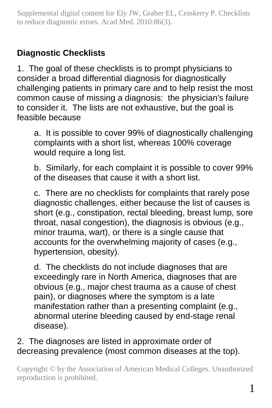# **Diagnostic Checklists**

1. The goal of these checklists is to prompt physicians to consider a broad differential diagnosis for diagnostically challenging patients in primary care and to help resist the most common cause of missing a diagnosis: the physician's failure to consider it. The lists are not exhaustive, but the goal is feasible because

a. It is possible to cover 99% of diagnostically challenging complaints with a short list, whereas 100% coverage would require a long list.

b. Similarly, for each complaint it is possible to cover 99% of the diseases that cause it with a short list.

c. There are no checklists for complaints that rarely pose diagnostic challenges, either because the list of causes is short (e.g., constipation, rectal bleeding, breast lump, sore throat, nasal congestion), the diagnosis is obvious (e.g., minor trauma, wart), or there is a single cause that accounts for the overwhelming majority of cases (e.g., hypertension, obesity).

d. The checklists do not include diagnoses that are exceedingly rare in North America, diagnoses that are obvious (e.g., major chest trauma as a cause of chest pain), or diagnoses where the symptom is a late manifestation rather than a presenting complaint (e.g., abnormal uterine bleeding caused by end-stage renal disease).

# 2. The diagnoses are listed in approximate order of decreasing prevalence (most common diseases at the top).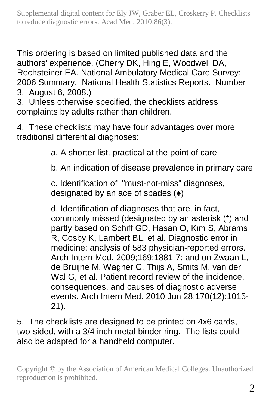This ordering is based on limited published data and the authors' experience. (Cherry DK, Hing E, Woodwell DA, Rechsteiner EA. National Ambulatory Medical Care Survey: 2006 Summary. National Health Statistics Reports. Number 3. August 6, 2008.)

3. Unless otherwise specified, the checklists address complaints by adults rather than children.

4. These checklists may have four advantages over more traditional differential diagnoses:

a. A shorter list, practical at the point of care

b. An indication of disease prevalence in primary care

c. Identification of "must-not-miss" diagnoses, designated by an ace of spades  $($ )

d. Identification of diagnoses that are, in fact, commonly missed (designated by an asterisk (\*) and partly based on Schiff GD, Hasan O, Kim S, Abrams R, Cosby K, Lambert BL, et al. Diagnostic error in medicine: analysis of 583 physician-reported errors. Arch Intern Med. 2009;169:1881-7; and on Zwaan L, de Bruijne M, Wagner C, Thijs A, Smits M, van der Wal G, et al. Patient record review of the incidence, consequences, and causes of diagnostic adverse events. Arch Intern Med. 2010 Jun 28;170(12):1015- 21).

5. The checklists are designed to be printed on 4x6 cards, two-sided, with a 3/4 inch metal binder ring. The lists could also be adapted for a handheld computer.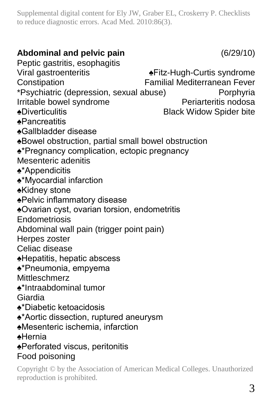# **Abdominal and pelvic pain** (6/29/10)

Peptic gastritis, esophagitis

Viral gastroenteritis ♠Fitz-Hugh-Curtis syndrome Constipation Familial Mediterranean Fever

\*Psychiatric (depression, sexual abuse) Porphyria

Irritable bowel syndrome

- ♠Diverticulitis Black Widow Spider bite
- ♠Pancreatitis
- ♠Gallbladder disease
- ♠Bowel obstruction, partial small bowel obstruction
- ♠\*Pregnancy complication, ectopic pregnancy
- Mesenteric adenitis
- ♠\*Appendicitis

♠\*Myocardial infarction

- ♠Kidney stone
- ♠Pelvic inflammatory disease
- ♠Ovarian cyst, ovarian torsion, endometritis
- Endometriosis
- Abdominal wall pain (trigger point pain)
- Herpes zoster
- Celiac disease
- ♠Hepatitis, hepatic abscess
- ♠\*Pneumonia, empyema

Mittleschmerz

- ♠\*Intraabdominal tumor
- Giardia
- ♠\*Diabetic ketoacidosis
- ♠\*Aortic dissection, ruptured aneurysm
- ♠Mesenteric ischemia, infarction
- ♠Hernia
- ♠Perforated viscus, peritonitis Food poisoning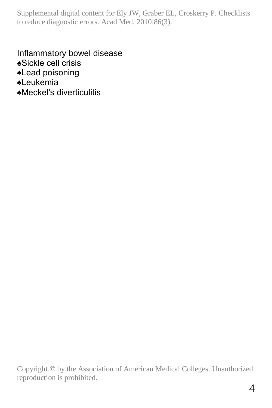Inflammatory bowel disease ♠Sickle cell crisis ♠Lead poisoning ♠Leukemia ♠Meckel's diverticulitis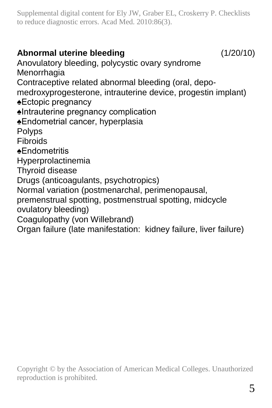# **Abnormal uterine bleeding** (1/20/10)

Anovulatory bleeding, polycystic ovary syndrome Menorrhagia Contraceptive related abnormal bleeding (oral, depomedroxyprogesterone, intrauterine device, progestin implant) ♠Ectopic pregnancy ♠Intrauterine pregnancy complication ♠Endometrial cancer, hyperplasia Polyps Fibroids ♠Endometritis Hyperprolactinemia Thyroid disease Drugs (anticoagulants, psychotropics) Normal variation (postmenarchal, perimenopausal, premenstrual spotting, postmenstrual spotting, midcycle ovulatory bleeding) Coagulopathy (von Willebrand) Organ failure (late manifestation: kidney failure, liver failure)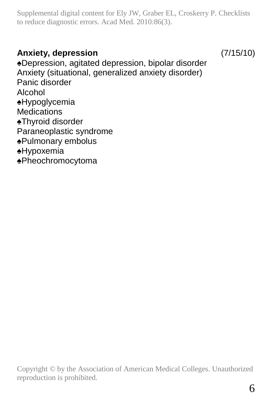#### **Anxiety, depression** (7/15/10)

♠Depression, agitated depression, bipolar disorder Anxiety (situational, generalized anxiety disorder) Panic disorder Alcohol ♠Hypoglycemia **Medications** ♠Thyroid disorder Paraneoplastic syndrome ♠Pulmonary embolus ♠Hypoxemia

♠Pheochromocytoma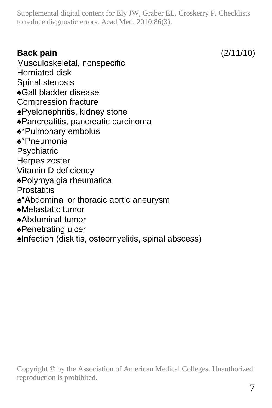# **Back pain** (2/11/10)

Musculoskeletal, nonspecific Herniated disk Spinal stenosis ♠Gall bladder disease Compression fracture ♠Pyelonephritis, kidney stone ♠Pancreatitis, pancreatic carcinoma ♠\*Pulmonary embolus ♠\*Pneumonia **Psychiatric** Herpes zoster Vitamin D deficiency ♠Polymyalgia rheumatica **Prostatitis** ♠\*Abdominal or thoracic aortic aneurysm ♠Metastatic tumor ♠Abdominal tumor ♠Penetrating ulcer

♠Infection (diskitis, osteomyelitis, spinal abscess)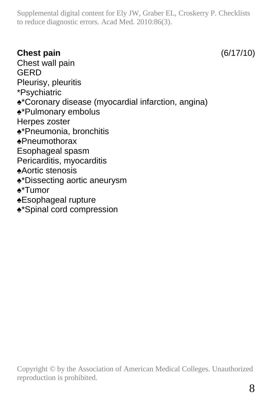# **Chest pain** (6/17/10)

Chest wall pain GERD Pleurisy, pleuritis \*Psychiatric ♠\*Coronary disease (myocardial infarction, angina) ♠\*Pulmonary embolus Herpes zoster ♠\*Pneumonia, bronchitis ♠Pneumothorax Esophageal spasm Pericarditis, myocarditis ♠Aortic stenosis ♠\*Dissecting aortic aneurysm ♠\*Tumor ♠Esophageal rupture ♠\*Spinal cord compression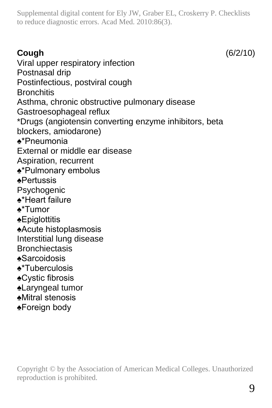**Cough** (6/2/10) Viral upper respiratory infection Postnasal drip Postinfectious, postviral cough **Bronchitis** Asthma, chronic obstructive pulmonary disease Gastroesophageal reflux \*Drugs (angiotensin converting enzyme inhibitors, beta blockers, amiodarone) ♠\*Pneumonia External or middle ear disease Aspiration, recurrent ♠\*Pulmonary embolus ♠Pertussis **Psychogenic** ♠\*Heart failure ♠\*Tumor ♠Epiglottitis ♠Acute histoplasmosis Interstitial lung disease **Bronchiectasis** ♠Sarcoidosis ♠\*Tuberculosis ♠Cystic fibrosis ♠Laryngeal tumor ♠Mitral stenosis ♠Foreign body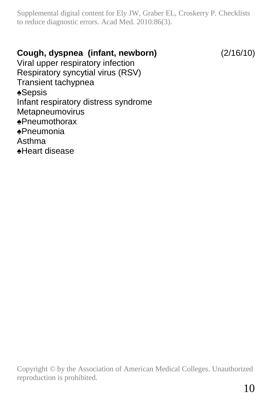#### **Cough, dyspnea (infant, newborn)** (2/16/10)

Viral upper respiratory infection Respiratory syncytial virus (RSV) Transient tachypnea ♠Sepsis Infant respiratory distress syndrome Metapneumovirus ♠Pneumothorax ♠Pneumonia Asthma ♠Heart disease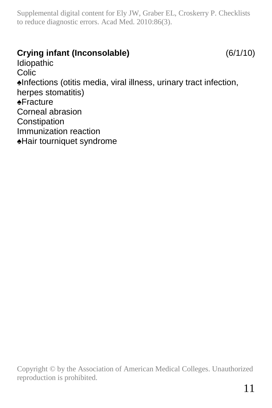#### **Crying infant (Inconsolable)** (6/1/10)

Idiopathic **Colic** ♠Infections (otitis media, viral illness, urinary tract infection, herpes stomatitis) ♠Fracture Corneal abrasion Constipation Immunization reaction ♠Hair tourniquet syndrome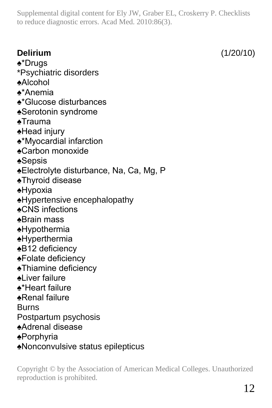**Delirium** (1/20/10) ♠\*Drugs \*Psychiatric disorders ♠Alcohol ♠\*Anemia ♠\*Glucose disturbances ♠Serotonin syndrome ♠Trauma ♠Head injury ♠\*Myocardial infarction ♠Carbon monoxide ♠Sepsis ♠Electrolyte disturbance, Na, Ca, Mg, P ♠Thyroid disease ♠Hypoxia ♠Hypertensive encephalopathy ♠CNS infections ♠Brain mass ♠Hypothermia ♠Hyperthermia ♠B12 deficiency ♠Folate deficiency ♠Thiamine deficiency ♠Liver failure ♠\*Heart failure ♠Renal failure Burns Postpartum psychosis ♠Adrenal disease ♠Porphyria ♠Nonconvulsive status epilepticus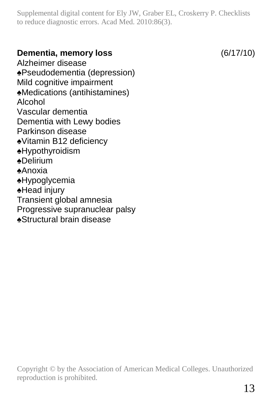#### **Dementia, memory loss** (6/17/10)

Alzheimer disease ♠Pseudodementia (depression) Mild cognitive impairment ♠Medications (antihistamines) Alcohol Vascular dementia Dementia with Lewy bodies Parkinson disease ♠Vitamin B12 deficiency ♠Hypothyroidism ♠Delirium ♠Anoxia ♠Hypoglycemia ♠Head injury Transient global amnesia Progressive supranuclear palsy ♠Structural brain disease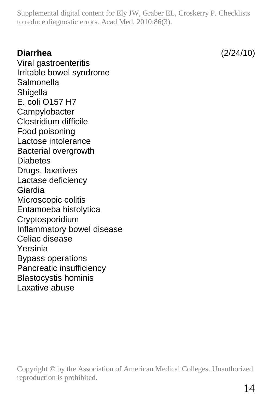#### **Diarrhea** (2/24/10)

Viral gastroenteritis Irritable bowel syndrome **Salmonella Shigella** E. coli O157 H7 **Campylobacter** Clostridium difficile Food poisoning Lactose intolerance Bacterial overgrowth **Diabetes** Drugs, laxatives Lactase deficiency Giardia Microscopic colitis Entamoeba histolytica Cryptosporidium Inflammatory bowel disease Celiac disease Yersinia Bypass operations Pancreatic insufficiency Blastocystis hominis Laxative abuse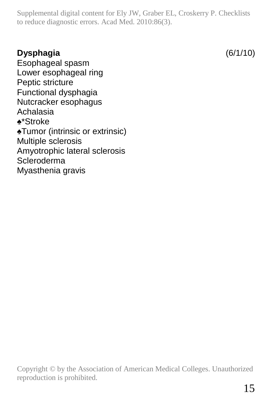# **Dysphagia** (6/1/10)

Esophageal spasm Lower esophageal ring Peptic stricture Functional dysphagia Nutcracker esophagus Achalasia ♠\*Stroke ♠Tumor (intrinsic or extrinsic) Multiple sclerosis Amyotrophic lateral sclerosis Scleroderma Myasthenia gravis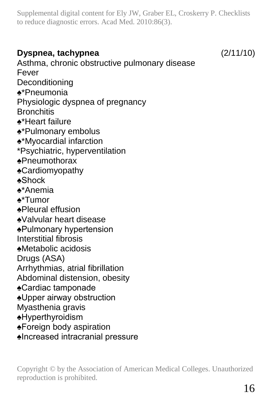### **Dyspnea, tachypnea** (2/11/10)

Asthma, chronic obstructive pulmonary disease Fever Deconditioning ♠\*Pneumonia Physiologic dyspnea of pregnancy **Bronchitis** ♠\*Heart failure ♠\*Pulmonary embolus ♠\*Myocardial infarction \*Psychiatric, hyperventilation ♠Pneumothorax ♠Cardiomyopathy ♠Shock ♠\*Anemia ♠\*Tumor ♠Pleural effusion ♠Valvular heart disease ♠Pulmonary hypertension Interstitial fibrosis ♠Metabolic acidosis Drugs (ASA) Arrhythmias, atrial fibrillation Abdominal distension, obesity ♠Cardiac tamponade ♠Upper airway obstruction Myasthenia gravis ♠Hyperthyroidism ♠Foreign body aspiration ♠Increased intracranial pressure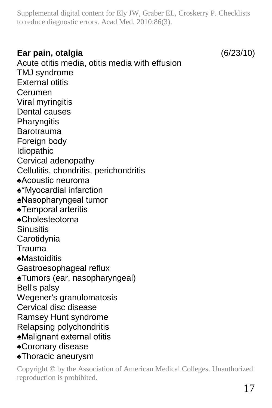#### **Ear pain, otalgia** (6/23/10)

Acute otitis media, otitis media with effusion TMJ syndrome External otitis Cerumen Viral myringitis Dental causes **Pharyngitis** Barotrauma Foreign body Idiopathic Cervical adenopathy Cellulitis, chondritis, perichondritis ♠Acoustic neuroma ♠\*Myocardial infarction ♠Nasopharyngeal tumor ♠Temporal arteritis ♠Cholesteotoma **Sinusitis Carotidynia** Trauma ♠Mastoiditis Gastroesophageal reflux ♠Tumors (ear, nasopharyngeal) Bell's palsy Wegener's granulomatosis Cervical disc disease Ramsey Hunt syndrome Relapsing polychondritis ♠Malignant external otitis ♠Coronary disease ♠Thoracic aneurysm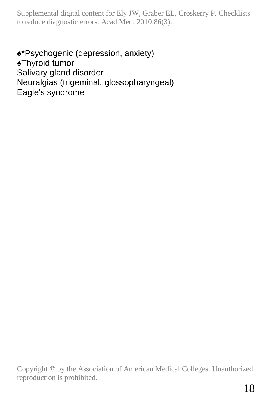♠\*Psychogenic (depression, anxiety) ♠Thyroid tumor Salivary gland disorder Neuralgias (trigeminal, glossopharyngeal) Eagle's syndrome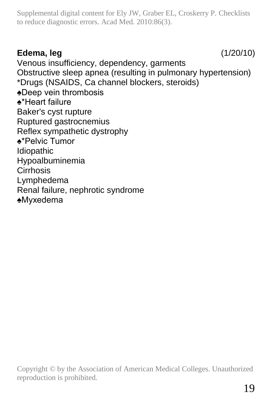# **Edema, leg** (1/20/10)

Venous insufficiency, dependency, garments Obstructive sleep apnea (resulting in pulmonary hypertension) \*Drugs (NSAIDS, Ca channel blockers, steroids) ♠Deep vein thrombosis ♠\*Heart failure Baker's cyst rupture Ruptured gastrocnemius Reflex sympathetic dystrophy ♠\*Pelvic Tumor Idiopathic Hypoalbuminemia Cirrhosis Lymphedema Renal failure, nephrotic syndrome ♠Myxedema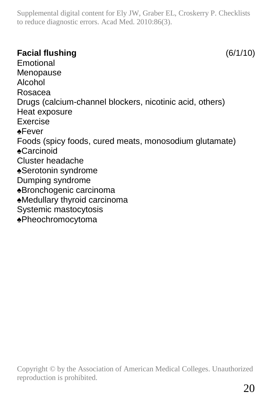## **Facial flushing** (6/1/10)

Emotional Menopause Alcohol Rosacea Drugs (calcium-channel blockers, nicotinic acid, others) Heat exposure Exercise ♠Fever Foods (spicy foods, cured meats, monosodium glutamate) ♠Carcinoid Cluster headache ♠Serotonin syndrome Dumping syndrome ♠Bronchogenic carcinoma ♠Medullary thyroid carcinoma Systemic mastocytosis ♠Pheochromocytoma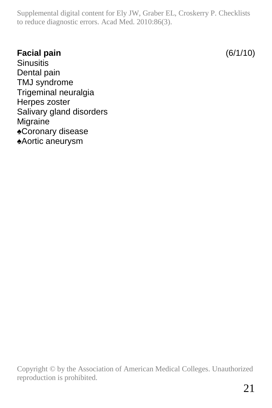### **Facial pain** (6/1/10)

**Sinusitis** Dental pain TMJ syndrome Trigeminal neuralgia Herpes zoster Salivary gland disorders Migraine ♠Coronary disease ♠Aortic aneurysm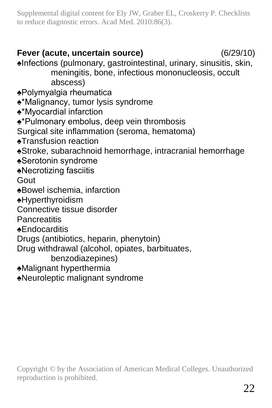## **Fever (acute, uncertain source)** (6/29/10)

♠Infections (pulmonary, gastrointestinal, urinary, sinusitis, skin, meningitis, bone, infectious mononucleosis, occult abscess)

- ♠Polymyalgia rheumatica
- ♠\*Malignancy, tumor lysis syndrome
- ♠\*Myocardial infarction
- ♠\*Pulmonary embolus, deep vein thrombosis
- Surgical site inflammation (seroma, hematoma)
- ♠Transfusion reaction
- ♠Stroke, subarachnoid hemorrhage, intracranial hemorrhage
- ♠Serotonin syndrome
- ♠Necrotizing fasciitis
- Gout
- ♠Bowel ischemia, infarction
- ♠Hyperthyroidism
- Connective tissue disorder
- **Pancreatitis**
- ♠Endocarditis
- Drugs (antibiotics, heparin, phenytoin)
- Drug withdrawal (alcohol, opiates, barbituates,
	- benzodiazepines)
- ♠Malignant hyperthermia
- ♠Neuroleptic malignant syndrome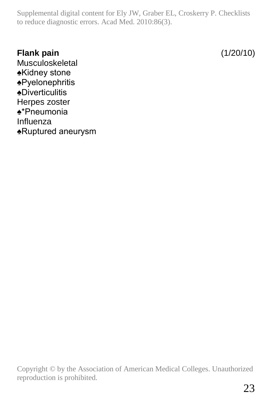#### **Flank pain** (1/20/10)

Musculoskeletal ♠Kidney stone ♠Pyelonephritis ♠Diverticulitis Herpes zoster ♠\*Pneumonia Influenza ♠Ruptured aneurysm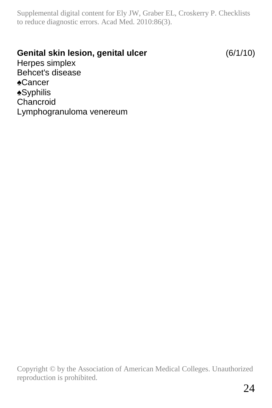#### **Genital skin lesion, genital ulcer** (6/1/10)

Herpes simplex Behcet's disease ♠Cancer ♠Syphilis Chancroid Lymphogranuloma venereum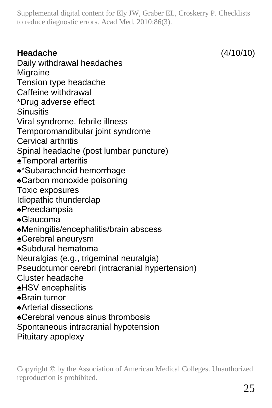# **Headache** (4/10/10)

Daily withdrawal headaches Migraine Tension type headache Caffeine withdrawal \*Drug adverse effect **Sinusitis** Viral syndrome, febrile illness Temporomandibular joint syndrome Cervical arthritis Spinal headache (post lumbar puncture) ♠Temporal arteritis ♠\*Subarachnoid hemorrhage ♠Carbon monoxide poisoning Toxic exposures Idiopathic thunderclap ♠Preeclampsia ♠Glaucoma ♠Meningitis/encephalitis/brain abscess ♠Cerebral aneurysm ♠Subdural hematoma Neuralgias (e.g., trigeminal neuralgia) Pseudotumor cerebri (intracranial hypertension) Cluster headache ♠HSV encephalitis ♠Brain tumor ♠Arterial dissections ♠Cerebral venous sinus thrombosis Spontaneous intracranial hypotension Pituitary apoplexy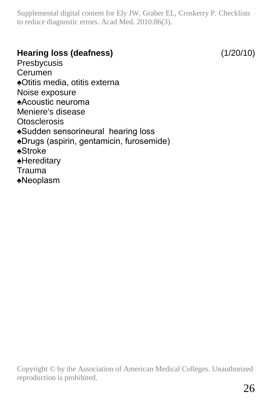# **Hearing loss (deafness)** (1/20/10)

Presbycusis Cerumen ♠Otitis media, otitis externa Noise exposure ♠Acoustic neuroma Meniere's disease **Otosclerosis** ♠Sudden sensorineural hearing loss ♠Drugs (aspirin, gentamicin, furosemide) ♠Stroke ♠Hereditary Trauma ♠Neoplasm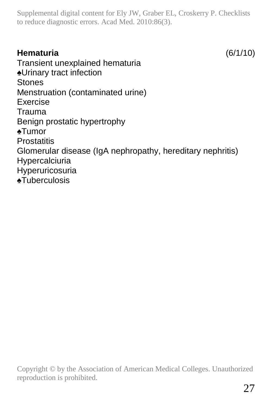# **Hematuria** (6/1/10)

Transient unexplained hematuria ♠Urinary tract infection Stones Menstruation (contaminated urine) Exercise Trauma Benign prostatic hypertrophy ♠Tumor **Prostatitis** Glomerular disease (IgA nephropathy, hereditary nephritis) Hypercalciuria Hyperuricosuria ♠Tuberculosis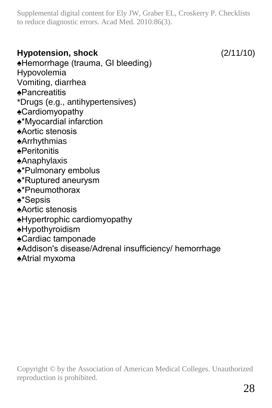# **Hypotension, shock** (2/11/10)

♠Hemorrhage (trauma, GI bleeding) Hypovolemia

- Vomiting, diarrhea
- ♠Pancreatitis
- \*Drugs (e.g., antihypertensives)
- ♠Cardiomyopathy
- ♠\*Myocardial infarction
- ♠Aortic stenosis
- ♠Arrhythmias
- ♠Peritonitis
- ♠Anaphylaxis
- ♠\*Pulmonary embolus
- ♠\*Ruptured aneurysm
- ♠\*Pneumothorax
- ♠\*Sepsis
- ♠Aortic stenosis
- ♠Hypertrophic cardiomyopathy
- ♠Hypothyroidism
- ♠Cardiac tamponade
- ♠Addison's disease/Adrenal insufficiency/ hemorrhage
- ♠Atrial myxoma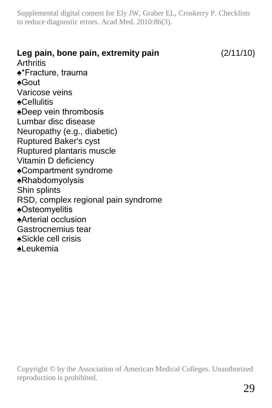**Leg pain, bone pain, extremity pain** (2/11/10) **Arthritis** ♠\*Fracture, trauma ♠Gout Varicose veins ♠Cellulitis ♠Deep vein thrombosis Lumbar disc disease Neuropathy (e.g., diabetic) Ruptured Baker's cyst Ruptured plantaris muscle Vitamin D deficiency ♠Compartment syndrome ♠Rhabdomyolysis Shin splints RSD, complex regional pain syndrome ♠Osteomyelitis ♠Arterial occlusion Gastrocnemius tear ♠Sickle cell crisis ♠Leukemia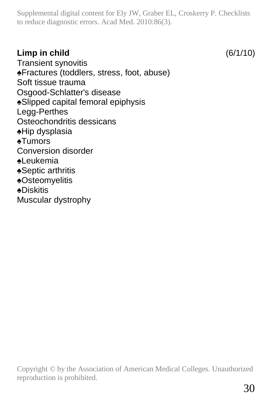## **Limp in child** (6/1/10)

Transient synovitis ♠Fractures (toddlers, stress, foot, abuse) Soft tissue trauma Osgood-Schlatter's disease ♠Slipped capital femoral epiphysis Legg-Perthes Osteochondritis dessicans ♠Hip dysplasia ♠Tumors Conversion disorder ♠Leukemia ♠Septic arthritis ♠Osteomyelitis ♠Diskitis Muscular dystrophy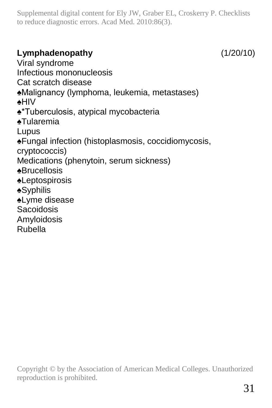# **Lymphadenopathy** (1/20/10)

Viral syndrome Infectious mononucleosis Cat scratch disease ♠Malignancy (lymphoma, leukemia, metastases) ♠HIV ♠\*Tuberculosis, atypical mycobacteria ♠Tularemia Lupus ♠Fungal infection (histoplasmosis, coccidiomycosis, cryptococcis) Medications (phenytoin, serum sickness) ♠Brucellosis ♠Leptospirosis ♠Syphilis ♠Lyme disease Sacoidosis Amyloidosis Rubella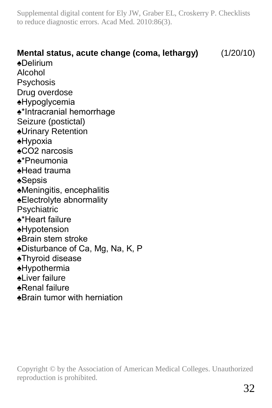# **Mental status, acute change (coma, lethargy)** (1/20/10) ♠Delirium Alcohol Psychosis Drug overdose ♠Hypoglycemia ♠\*Intracranial hemorrhage Seizure (postictal) ♠Urinary Retention ♠Hypoxia ♠CO2 narcosis ♠\*Pneumonia ♠Head trauma ♠Sepsis ♠Meningitis, encephalitis ♠Electrolyte abnormality **Psychiatric** ♠\*Heart failure ♠Hypotension ♠Brain stem stroke ♠Disturbance of Ca, Mg, Na, K, P ♠Thyroid disease ♠Hypothermia ♠Liver failure ♠Renal failure ♠Brain tumor with herniation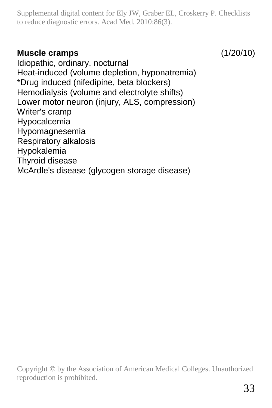#### **Muscle cramps** (1/20/10)

Idiopathic, ordinary, nocturnal Heat-induced (volume depletion, hyponatremia) \*Drug induced (nifedipine, beta blockers) Hemodialysis (volume and electrolyte shifts) Lower motor neuron (injury, ALS, compression) Writer's cramp Hypocalcemia Hypomagnesemia Respiratory alkalosis Hypokalemia Thyroid disease

McArdle's disease (glycogen storage disease)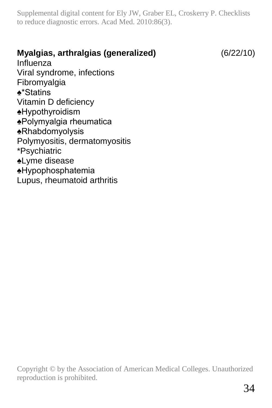# **Myalgias, arthralgias (generalized)** (6/22/10) Influenza Viral syndrome, infections Fibromyalgia ♠\*Statins Vitamin D deficiency ♠Hypothyroidism ♠Polymyalgia rheumatica ♠Rhabdomyolysis Polymyositis, dermatomyositis \*Psychiatric ♠Lyme disease ♠Hypophosphatemia Lupus, rheumatoid arthritis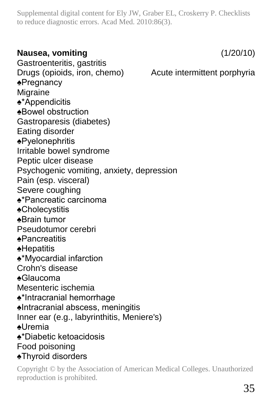#### **Nausea, vomiting** (1/20/10)

Gastroenteritis, gastritis Drugs (opioids, iron, chemo) Acute intermittent porphyria ♠Pregnancy **Migraine** ♠\*Appendicitis ♠Bowel obstruction Gastroparesis (diabetes) Eating disorder ♠Pyelonephritis Irritable bowel syndrome Peptic ulcer disease Psychogenic vomiting, anxiety, depression Pain (esp. visceral) Severe coughing ♠\*Pancreatic carcinoma ♠Cholecystitis ♠Brain tumor Pseudotumor cerebri ♠Pancreatitis ♠Hepatitis ♠\*Myocardial infarction Crohn's disease ♠Glaucoma Mesenteric ischemia ♠\*Intracranial hemorrhage ♠Intracranial abscess, meningitis Inner ear (e.g., labyrinthitis, Meniere's) ♠Uremia ♠\*Diabetic ketoacidosis Food poisoning ♠Thyroid disorders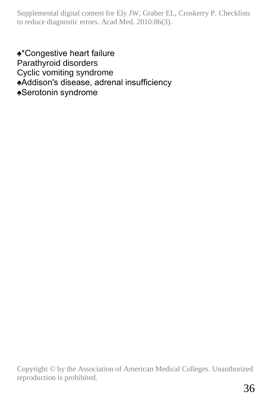♠\*Congestive heart failure Parathyroid disorders Cyclic vomiting syndrome ♠Addison's disease, adrenal insufficiency ♠Serotonin syndrome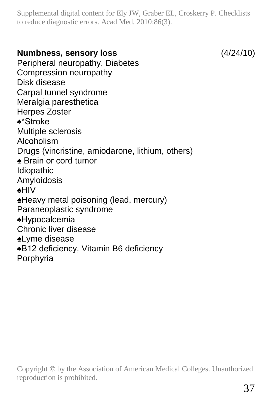#### **Numbness, sensory loss** (4/24/10)

Peripheral neuropathy, Diabetes Compression neuropathy Disk disease Carpal tunnel syndrome Meralgia paresthetica Herpes Zoster ♠\*Stroke Multiple sclerosis Alcoholism Drugs (vincristine, amiodarone, lithium, others) ♠ Brain or cord tumor Idiopathic Amyloidosis ♠HIV ♠Heavy metal poisoning (lead, mercury) Paraneoplastic syndrome ♠Hypocalcemia Chronic liver disease ♠Lyme disease ♠B12 deficiency, Vitamin B6 deficiency Porphyria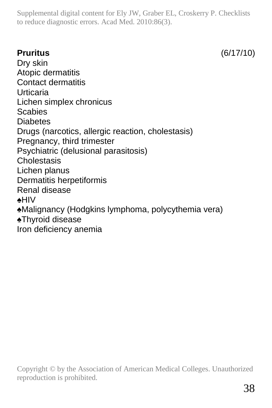**Pruritus** (6/17/10)

Dry skin Atopic dermatitis Contact dermatitis Urticaria Lichen simplex chronicus **Scabies** Diabetes Drugs (narcotics, allergic reaction, cholestasis) Pregnancy, third trimester Psychiatric (delusional parasitosis) Cholestasis Lichen planus Dermatitis herpetiformis Renal disease ♠HIV ♠Malignancy (Hodgkins lymphoma, polycythemia vera) ♠Thyroid disease Iron deficiency anemia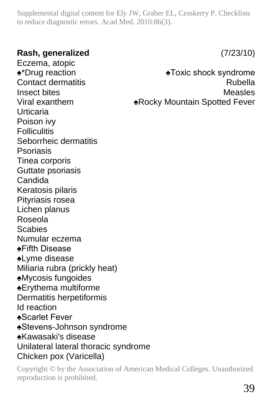#### **Rash, generalized** (7/23/10)

Eczema, atopic ♠\*Drug reaction ♠Toxic shock syndrome Contact dermatitis **Rubella** Insect bites Measles Viral exanthem **Exanthem**ARocky Mountain Spotted Fever Urticaria Poison ivy **Folliculitis** Seborrheic dermatitis Psoriasis Tinea corporis Guttate psoriasis Candida Keratosis pilaris Pityriasis rosea Lichen planus Roseola Scabies Numular eczema ♠Fifth Disease ♠Lyme disease Miliaria rubra (prickly heat) ♠Mycosis fungoides ♠Erythema multiforme Dermatitis herpetiformis Id reaction ♠Scarlet Fever ♠Stevens-Johnson syndrome ♠Kawasaki's disease Unilateral lateral thoracic syndrome Chicken pox (Varicella)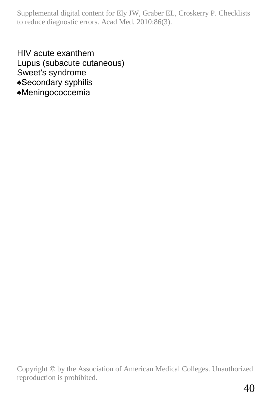HIV acute exanthem Lupus (subacute cutaneous) Sweet's syndrome ♠Secondary syphilis ♠Meningococcemia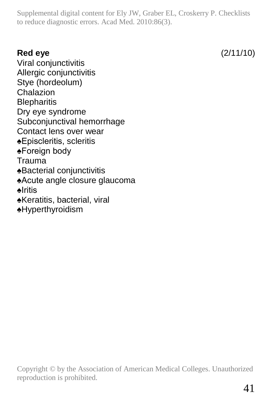**Red eye** (2/11/10)

Viral conjunctivitis Allergic conjunctivitis Stye (hordeolum) Chalazion **Blepharitis** Dry eye syndrome Subconjunctival hemorrhage Contact lens over wear ♠Episcleritis, scleritis ♠Foreign body Trauma ♠Bacterial conjunctivitis ♠Acute angle closure glaucoma ♠Iritis ♠Keratitis, bacterial, viral ♠Hyperthyroidism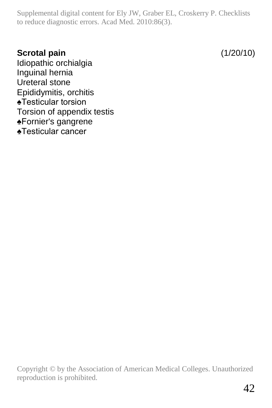## **Scrotal pain** (1/20/10)

Idiopathic orchialgia Inguinal hernia Ureteral stone Epididymitis, orchitis ♠Testicular torsion Torsion of appendix testis ♠Fornier's gangrene ♠Testicular cancer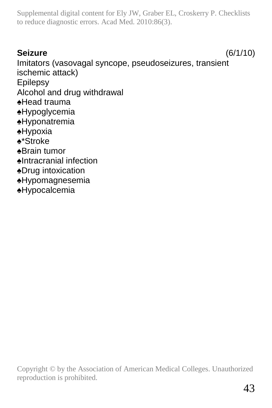# **Seizure** (6/1/10)

Imitators (vasovagal syncope, pseudoseizures, transient ischemic attack) Epilepsy Alcohol and drug withdrawal ♠Head trauma ♠Hypoglycemia ♠Hyponatremia ♠Hypoxia ♠\*Stroke ♠Brain tumor ♠Intracranial infection ♠Drug intoxication ♠Hypomagnesemia ♠Hypocalcemia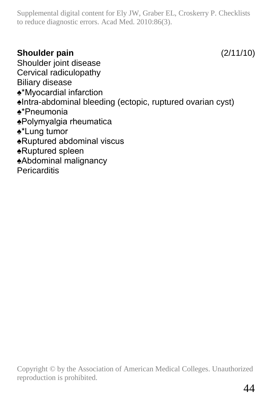# **Shoulder pain** (2/11/10)

Shoulder joint disease Cervical radiculopathy Biliary disease ♠\*Myocardial infarction ♠Intra-abdominal bleeding (ectopic, ruptured ovarian cyst) ♠\*Pneumonia ♠Polymyalgia rheumatica ♠\*Lung tumor ♠Ruptured abdominal viscus ♠Ruptured spleen ♠Abdominal malignancy **Pericarditis**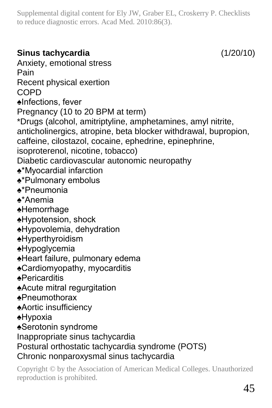**Sinus tachycardia** (1/20/10) Anxiety, emotional stress Pain Recent physical exertion **COPD** ♠Infections, fever Pregnancy (10 to 20 BPM at term) \*Drugs (alcohol, amitriptyline, amphetamines, amyl nitrite, anticholinergics, atropine, beta blocker withdrawal, bupropion, caffeine, cilostazol, cocaine, ephedrine, epinephrine, isoproterenol, nicotine, tobacco) Diabetic cardiovascular autonomic neuropathy ♠\*Myocardial infarction ♠\*Pulmonary embolus ♠\*Pneumonia ♠\*Anemia ♠Hemorrhage ♠Hypotension, shock ♠Hypovolemia, dehydration ♠Hyperthyroidism ♠Hypoglycemia ♠Heart failure, pulmonary edema ♠Cardiomyopathy, myocarditis ♠Pericarditis ♠Acute mitral regurgitation ♠Pneumothorax ♠Aortic insufficiency ♠Hypoxia ♠Serotonin syndrome Inappropriate sinus tachycardia Postural orthostatic tachycardia syndrome (POTS) Chronic nonparoxysmal sinus tachycardia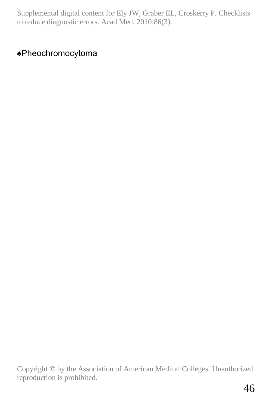# ♠Pheochromocytoma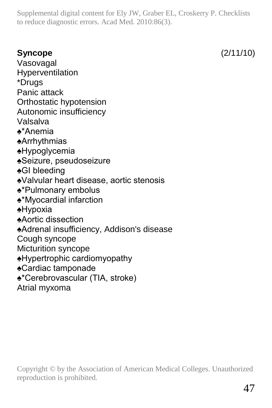# **Syncope** (2/11/10)

Vasovagal Hyperventilation \*Drugs Panic attack Orthostatic hypotension Autonomic insufficiency Valsalva ♠\*Anemia ♠Arrhythmias ♠Hypoglycemia ♠Seizure, pseudoseizure ♠GI bleeding ♠Valvular heart disease, aortic stenosis ♠\*Pulmonary embolus ♠\*Myocardial infarction ♠Hypoxia ♠Aortic dissection ♠Adrenal insufficiency, Addison's disease Cough syncope Micturition syncope ♠Hypertrophic cardiomyopathy ♠Cardiac tamponade ♠\*Cerebrovascular (TIA, stroke) Atrial myxoma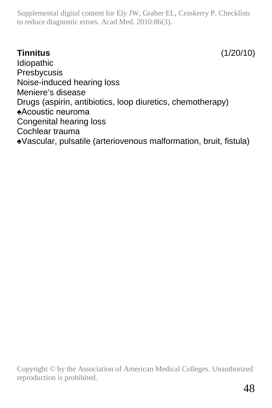# **Tinnitus** (1/20/10)

Idiopathic Presbycusis Noise-induced hearing loss Meniere's disease Drugs (aspirin, antibiotics, loop diuretics, chemotherapy) ♠Acoustic neuroma Congenital hearing loss Cochlear trauma ♠Vascular, pulsatile (arteriovenous malformation, bruit, fistula)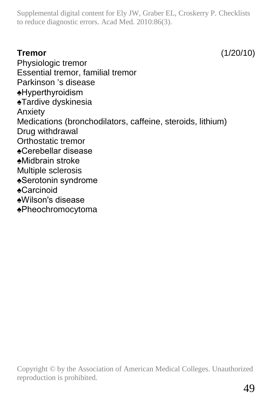**Tremor** (1/20/10)

Physiologic tremor Essential tremor, familial tremor Parkinson 's disease ♠Hyperthyroidism ♠Tardive dyskinesia Anxiety Medications (bronchodilators, caffeine, steroids, lithium) Drug withdrawal Orthostatic tremor ♠Cerebellar disease ♠Midbrain stroke Multiple sclerosis ♠Serotonin syndrome ♠Carcinoid ♠Wilson's disease ♠Pheochromocytoma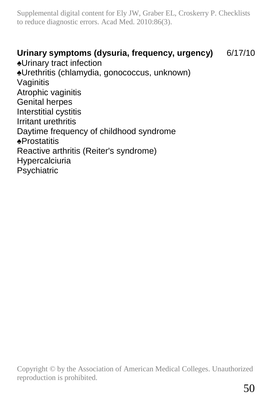#### **Urinary symptoms (dysuria, frequency, urgency)** 6/17/10

♠Urinary tract infection ♠Urethritis (chlamydia, gonococcus, unknown) Vaginitis Atrophic vaginitis Genital herpes Interstitial cystitis Irritant urethritis Daytime frequency of childhood syndrome ♠Prostatitis Reactive arthritis (Reiter's syndrome) Hypercalciuria Psychiatric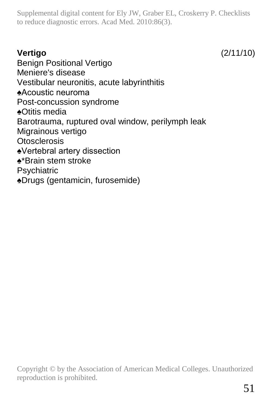**Vertigo** (2/11/10)

Benign Positional Vertigo Meniere's disease Vestibular neuronitis, acute labyrinthitis ♠Acoustic neuroma Post-concussion syndrome ♠Otitis media Barotrauma, ruptured oval window, perilymph leak Migrainous vertigo **Otosclerosis** ♠Vertebral artery dissection ♠\*Brain stem stroke **Psychiatric** ♠Drugs (gentamicin, furosemide)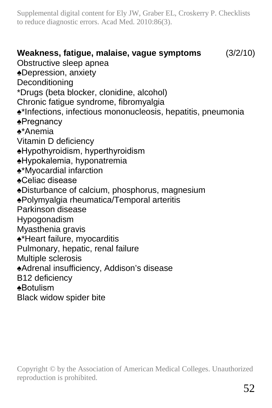**Weakness, fatigue, malaise, vague symptoms** (3/2/10) Obstructive sleep apnea ♠Depression, anxiety **Deconditioning** \*Drugs (beta blocker, clonidine, alcohol) Chronic fatigue syndrome, fibromyalgia ♠\*Infections, infectious mononucleosis, hepatitis, pneumonia ♠Pregnancy ♠\*Anemia Vitamin D deficiency ♠Hypothyroidism, hyperthyroidism ♠Hypokalemia, hyponatremia ♠\*Myocardial infarction ♠Celiac disease ♠Disturbance of calcium, phosphorus, magnesium ♠Polymyalgia rheumatica/Temporal arteritis Parkinson disease Hypogonadism Myasthenia gravis ♠\*Heart failure, myocarditis Pulmonary, hepatic, renal failure Multiple sclerosis ♠Adrenal insufficiency, Addison's disease B12 deficiency ♠Botulism Black widow spider bite